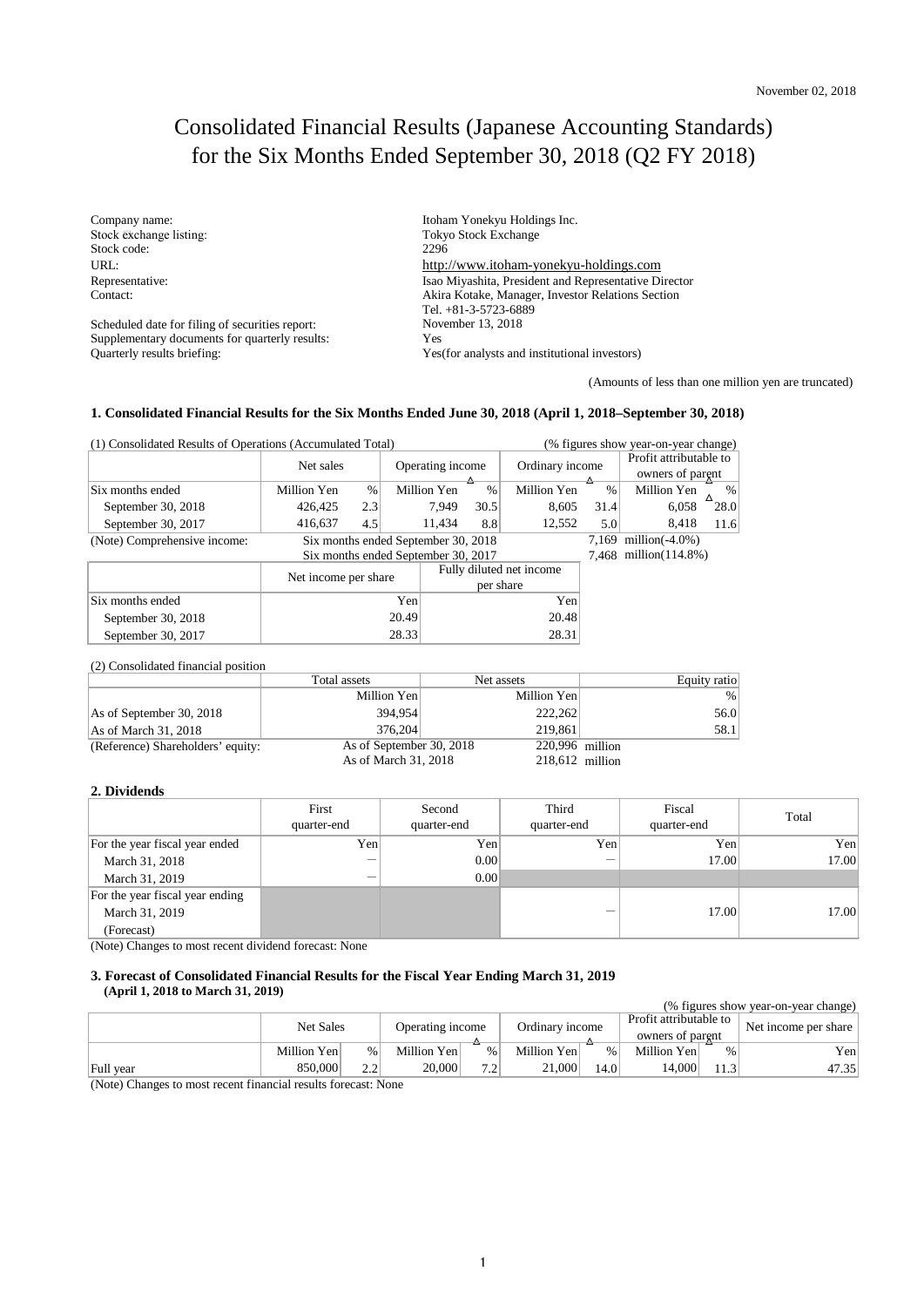# Consolidated Financial Results (Japanese Accounting Standards) for the Six Months Ended September 30, 2018 (Q2 FY 2018)

Stock exchange listing: Stock code:

Scheduled date for filing of securities report: Supplementary documents for quarterly results: Yes<br>Quarterly results briefing: Yes

Company name: Itoham Yonekyu Holdings Inc. Tokyo Stock Exchange<br>2296 URL:<br>
http://www.itoham-yonekyu-holdings.com Representative:<br>
Isao Miyashita, President and Representative Director<br>
Contact:<br>
Akira Kotake, Manager, Investor Relations Section Akira Kotake, Manager, Investor Relations Section Tel. +81-3-5723-6889 Yes(for analysts and institutional investors) November 13, 2018

(Amounts of less than one million yen are truncated)

### **1. Consolidated Financial Results for the Six Months Ended June 30, 2018 (April 1, 2018–September 30, 2018)**

| (1) Consolidated Results of Operations (Accumulated Total) |                                     |                                     |                  | (% figures show year-on-year change) |                 |                    |                        |             |        |
|------------------------------------------------------------|-------------------------------------|-------------------------------------|------------------|--------------------------------------|-----------------|--------------------|------------------------|-------------|--------|
|                                                            | Net sales                           |                                     | Operating income |                                      | Ordinary income |                    | Profit attributable to |             |        |
|                                                            |                                     |                                     | ≙                |                                      |                 | ≏                  | owners of parent       |             |        |
| Six months ended                                           | Million Yen                         | $\%$                                |                  | Million Yen                          | $\%$            | Million Yen        | $\%$                   | Million Yen | %<br>Δ |
| September 30, 2018                                         | 426,425                             | 2.3                                 |                  | 7,949                                | 30.5            | 8,605              | 31.4                   | 6,058       | 28.0   |
| September 30, 2017                                         | 416.637                             | 4.5                                 |                  | 11.434                               | 8.8             | 12.552             | 5.0                    | 8.418       | 11.6   |
| (Note) Comprehensive income:                               | Six months ended September 30, 2018 |                                     |                  |                                      | 7.169           | million $(-4.0\%)$ |                        |             |        |
|                                                            |                                     | Six months ended September 30, 2017 |                  |                                      |                 |                    | 7,468 million(114.8%)  |             |        |
|                                                            | Net income per share                |                                     |                  | Fully diluted net income             |                 |                    |                        |             |        |
|                                                            |                                     |                                     |                  | per share                            |                 |                    |                        |             |        |
| Six months ended                                           | Yen                                 |                                     | Yen              |                                      |                 |                    |                        |             |        |
| September 30, 2018                                         | 20.49                               |                                     |                  |                                      |                 | 20.48              |                        |             |        |
| September 30, 2017                                         | 28.33                               |                                     |                  | 28.31                                |                 |                    |                        |             |        |

(2) Consolidated financial position

|                                   | Total assets             | Net assets        | Equity ratio |
|-----------------------------------|--------------------------|-------------------|--------------|
|                                   | Million Yen              | Million Yen       | $\%$         |
| As of September 30, 2018          | 394.954                  | 222,262           | 56.0         |
| As of March 31, 2018              | 376.204                  | 219,861           | 58.1         |
| (Reference) Shareholders' equity: | As of September 30, 2018 | $220,996$ million |              |
|                                   | As of March 31, 2018     | $218,612$ million |              |

#### **2. Dividends**

|                                 | First<br>quarter-end | Second<br>quarter-end | Third<br>quarter-end     | Fiscal<br>quarter-end | Total |
|---------------------------------|----------------------|-----------------------|--------------------------|-----------------------|-------|
| For the year fiscal year ended  | Yen                  | Yen                   | Yen                      | Yen                   | Yen   |
| March 31, 2018                  | –                    | 0.00                  | $\overline{\phantom{a}}$ | 17.00                 | 17.00 |
| March 31, 2019                  |                      | 0.00                  |                          |                       |       |
| For the year fiscal year ending |                      |                       |                          |                       |       |
| March 31, 2019                  |                      |                       |                          | 17.00                 | 17.00 |
| (Forecast)                      |                      |                       |                          |                       |       |

(Note) Changes to most recent dividend forecast: None

#### **3. Forecast of Consolidated Financial Results for the Fiscal Year Ending March 31, 2019 (April 1, 2018 to March 31, 2019)**

| (% figures show year-on-year change)                                                                                   |                  |               |                  |      |                 |       |                        |      |                      |
|------------------------------------------------------------------------------------------------------------------------|------------------|---------------|------------------|------|-----------------|-------|------------------------|------|----------------------|
|                                                                                                                        | <b>Net Sales</b> |               | Operating income |      | Ordinary income |       | Profit attributable to |      | Net income per share |
|                                                                                                                        |                  |               |                  |      |                 |       | owners of parent       |      |                      |
|                                                                                                                        | Million Yen      | $\frac{0}{0}$ | Million Yen      | $\%$ | Million Yen     | $\%$  | Million Yen            | $\%$ | Yen                  |
| Full year                                                                                                              | 850,000          | っっ            | 20,000           | 72   | 21,000          | 14.01 | 14.000                 |      | 47.35                |
| $\Delta L_{\text{min}}$ $\Delta L_{\text{max}}$ and the month moment fluorescending months for $\Delta L_{\text{max}}$ |                  |               |                  |      |                 |       |                        |      |                      |

(Note) Changes to most recent financial results forecast: None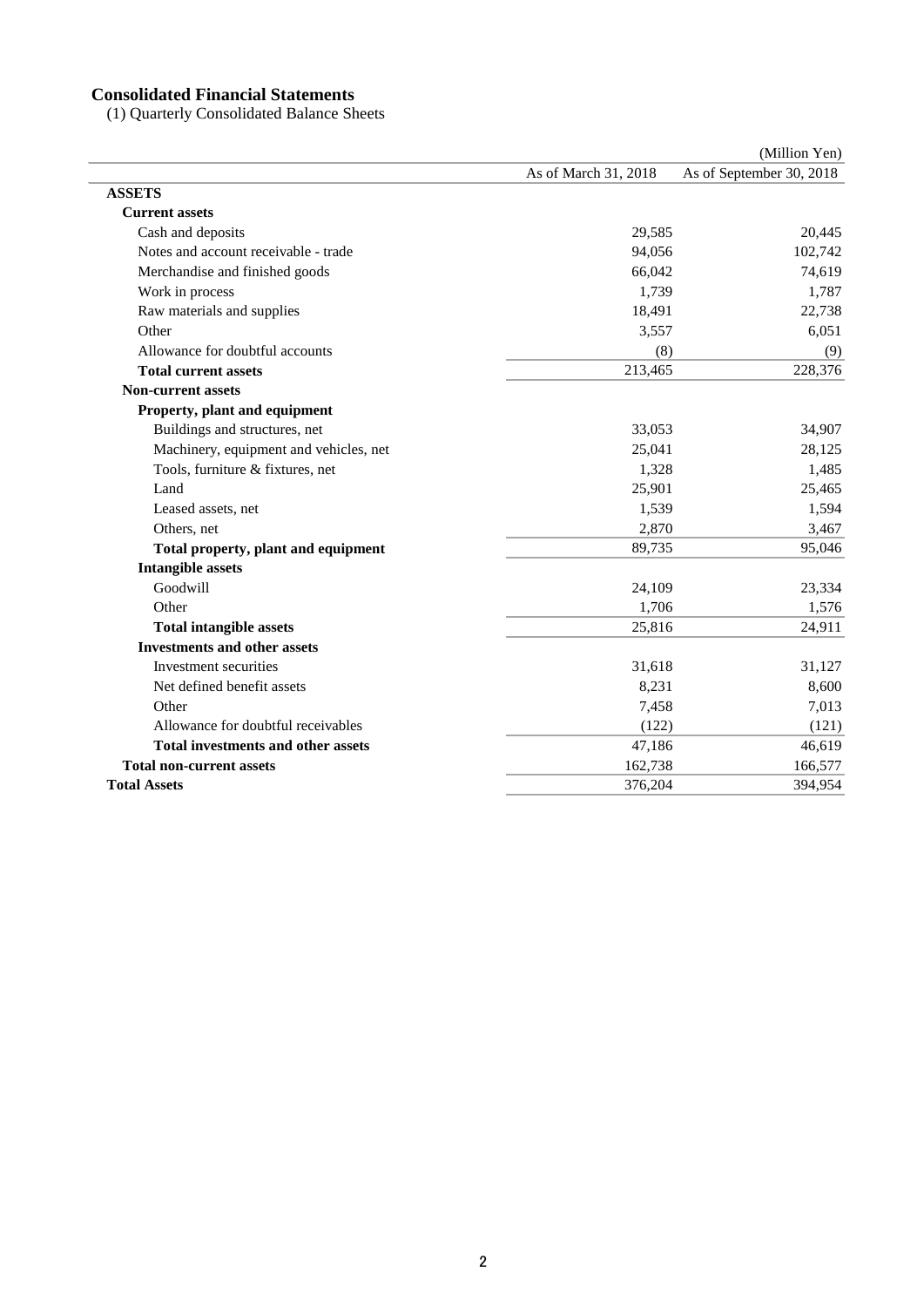#### **Consolidated Financial Statements**

(1) Quarterly Consolidated Balance Sheets

|                                           |                      | (Million Yen)            |
|-------------------------------------------|----------------------|--------------------------|
|                                           | As of March 31, 2018 | As of September 30, 2018 |
| <b>ASSETS</b>                             |                      |                          |
| <b>Current assets</b>                     |                      |                          |
| Cash and deposits                         | 29,585               | 20,445                   |
| Notes and account receivable - trade      | 94,056               | 102,742                  |
| Merchandise and finished goods            | 66,042               | 74,619                   |
| Work in process                           | 1,739                | 1,787                    |
| Raw materials and supplies                | 18,491               | 22,738                   |
| Other                                     | 3,557                | 6,051                    |
| Allowance for doubtful accounts           | (8)                  | (9)                      |
| <b>Total current assets</b>               | 213,465              | 228,376                  |
| <b>Non-current assets</b>                 |                      |                          |
| Property, plant and equipment             |                      |                          |
| Buildings and structures, net             | 33,053               | 34,907                   |
| Machinery, equipment and vehicles, net    | 25,041               | 28,125                   |
| Tools, furniture & fixtures, net          | 1,328                | 1,485                    |
| Land                                      | 25,901               | 25,465                   |
| Leased assets, net                        | 1,539                | 1,594                    |
| Others, net                               | 2,870                | 3,467                    |
| Total property, plant and equipment       | 89,735               | 95,046                   |
| <b>Intangible assets</b>                  |                      |                          |
| Goodwill                                  | 24,109               | 23,334                   |
| Other                                     | 1,706                | 1,576                    |
| <b>Total intangible assets</b>            | 25,816               | 24,911                   |
| <b>Investments and other assets</b>       |                      |                          |
| Investment securities                     | 31,618               | 31,127                   |
| Net defined benefit assets                | 8,231                | 8,600                    |
| Other                                     | 7,458                | 7,013                    |
| Allowance for doubtful receivables        | (122)                | (121)                    |
| <b>Total investments and other assets</b> | 47,186               | 46,619                   |
| <b>Total non-current assets</b>           | 162,738              | 166,577                  |
| <b>Total Assets</b>                       | 376,204              | 394,954                  |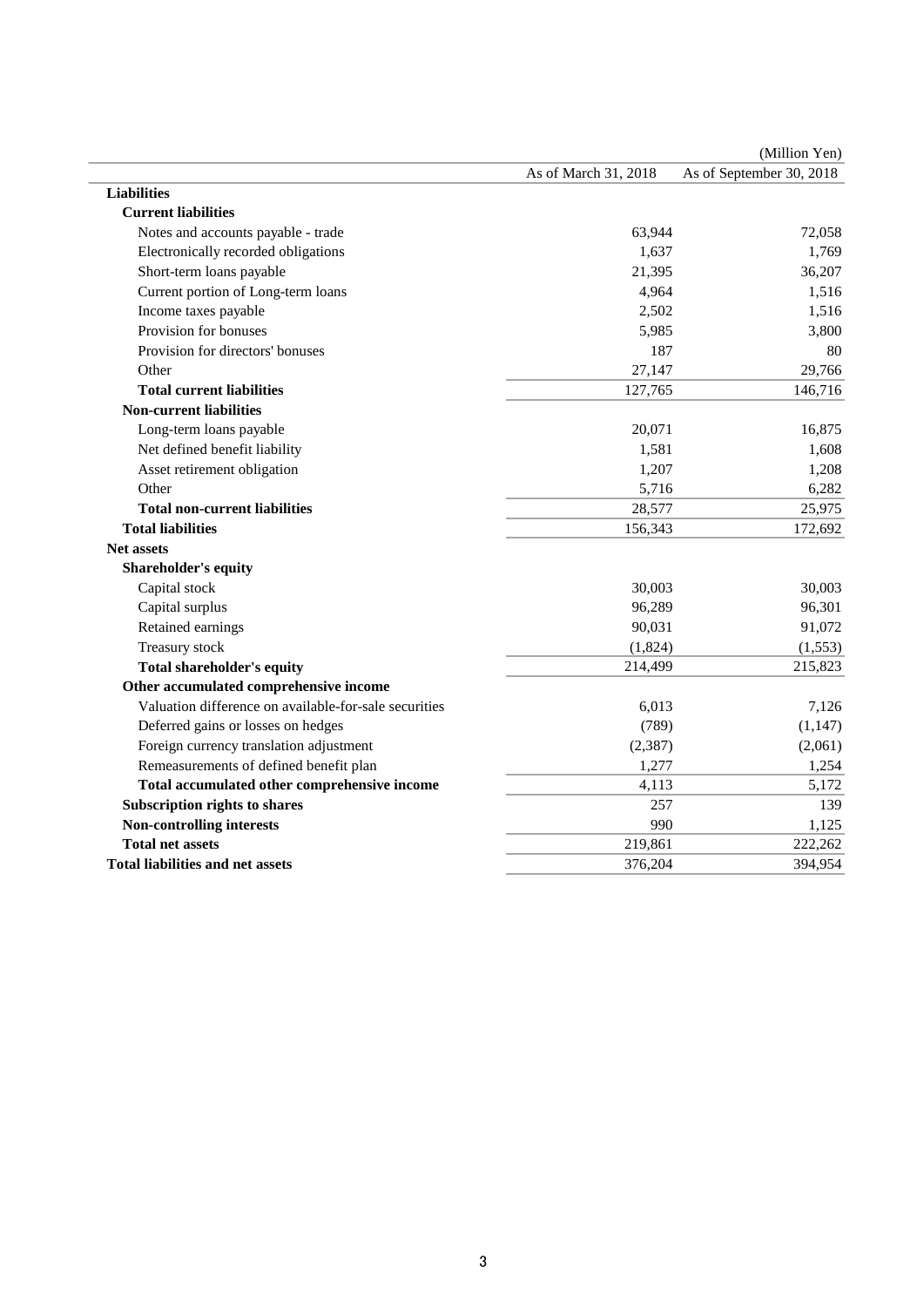|                                                       |                      | (Million Yen)            |
|-------------------------------------------------------|----------------------|--------------------------|
|                                                       | As of March 31, 2018 | As of September 30, 2018 |
| <b>Liabilities</b>                                    |                      |                          |
| <b>Current liabilities</b>                            |                      |                          |
| Notes and accounts payable - trade                    | 63,944               | 72,058                   |
| Electronically recorded obligations                   | 1,637                | 1,769                    |
| Short-term loans payable                              | 21,395               | 36,207                   |
| Current portion of Long-term loans                    | 4,964                | 1,516                    |
| Income taxes payable                                  | 2,502                | 1,516                    |
| Provision for bonuses                                 | 5,985                | 3,800                    |
| Provision for directors' bonuses                      | 187                  | 80                       |
| Other                                                 | 27,147               | 29,766                   |
| <b>Total current liabilities</b>                      | 127,765              | 146,716                  |
| <b>Non-current liabilities</b>                        |                      |                          |
| Long-term loans payable                               | 20,071               | 16,875                   |
| Net defined benefit liability                         | 1,581                | 1,608                    |
| Asset retirement obligation                           | 1,207                | 1,208                    |
| Other                                                 | 5,716                | 6,282                    |
| <b>Total non-current liabilities</b>                  | 28,577               | 25,975                   |
| <b>Total liabilities</b>                              | 156,343              | 172,692                  |
| <b>Net assets</b>                                     |                      |                          |
| <b>Shareholder's equity</b>                           |                      |                          |
| Capital stock                                         | 30,003               | 30,003                   |
| Capital surplus                                       | 96,289               | 96,301                   |
| Retained earnings                                     | 90,031               | 91,072                   |
| Treasury stock                                        | (1,824)              | (1, 553)                 |
| <b>Total shareholder's equity</b>                     | 214,499              | 215,823                  |
| Other accumulated comprehensive income                |                      |                          |
| Valuation difference on available-for-sale securities | 6,013                | 7,126                    |
| Deferred gains or losses on hedges                    | (789)                | (1, 147)                 |
| Foreign currency translation adjustment               | (2, 387)             | (2,061)                  |
| Remeasurements of defined benefit plan                | 1,277                | 1,254                    |
| Total accumulated other comprehensive income          | 4,113                | 5,172                    |
| Subscription rights to shares                         | 257                  | 139                      |
| <b>Non-controlling interests</b>                      | 990                  | 1,125                    |
| <b>Total net assets</b>                               | 219,861              | 222,262                  |
| <b>Total liabilities and net assets</b>               | 376,204              | 394,954                  |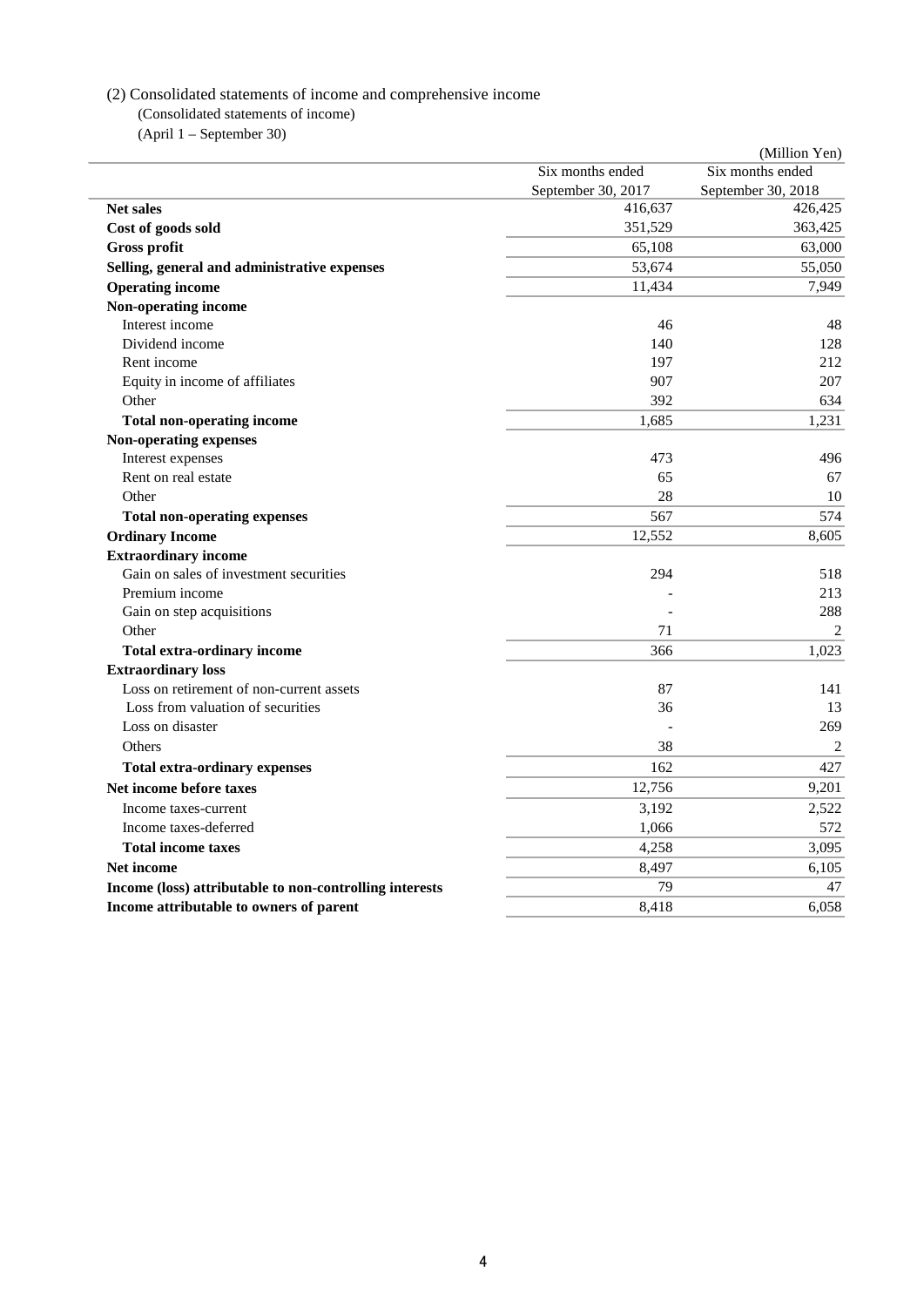#### (2) Consolidated statements of income and comprehensive income

(Consolidated statements of income)

(April 1 – September 30)

|                                                         |                    | (Million Yen)      |
|---------------------------------------------------------|--------------------|--------------------|
|                                                         | Six months ended   | Six months ended   |
|                                                         | September 30, 2017 | September 30, 2018 |
| <b>Net sales</b>                                        | 416,637            | 426,425            |
| Cost of goods sold                                      | 351,529            | 363,425            |
| <b>Gross profit</b>                                     | 65,108             | 63,000             |
| Selling, general and administrative expenses            | 53,674             | 55,050             |
| <b>Operating income</b>                                 | 11,434             | 7,949              |
| Non-operating income                                    |                    |                    |
| Interest income                                         | 46                 | 48                 |
| Dividend income                                         | 140                | 128                |
| Rent income                                             | 197                | 212                |
| Equity in income of affiliates                          | 907                | 207                |
| Other                                                   | 392                | 634                |
| <b>Total non-operating income</b>                       | 1,685              | 1.231              |
| <b>Non-operating expenses</b>                           |                    |                    |
| Interest expenses                                       | 473                | 496                |
| Rent on real estate                                     | 65                 | 67                 |
| Other                                                   | 28                 | 10                 |
| <b>Total non-operating expenses</b>                     | 567                | 574                |
| <b>Ordinary Income</b>                                  | 12,552             | 8,605              |
| <b>Extraordinary income</b>                             |                    |                    |
| Gain on sales of investment securities                  | 294                | 518                |
| Premium income                                          |                    | 213                |
| Gain on step acquisitions                               |                    | 288                |
| Other                                                   | 71                 | 2                  |
| <b>Total extra-ordinary income</b>                      | 366                | 1,023              |
| <b>Extraordinary loss</b>                               |                    |                    |
| Loss on retirement of non-current assets                | 87                 | 141                |
| Loss from valuation of securities                       | 36                 | 13                 |
| Loss on disaster                                        |                    | 269                |
| Others                                                  | 38                 | $\overline{2}$     |
| <b>Total extra-ordinary expenses</b>                    | 162                | 427                |
| Net income before taxes                                 | 12,756             | 9,201              |
| Income taxes-current                                    | 3,192              | 2,522              |
| Income taxes-deferred                                   | 1,066              | 572                |
| <b>Total income taxes</b>                               | 4,258              | 3,095              |
| <b>Net income</b>                                       | 8,497              | 6,105              |
| Income (loss) attributable to non-controlling interests | 79                 | 47                 |
| Income attributable to owners of parent                 | 8,418              | 6.058              |
|                                                         |                    |                    |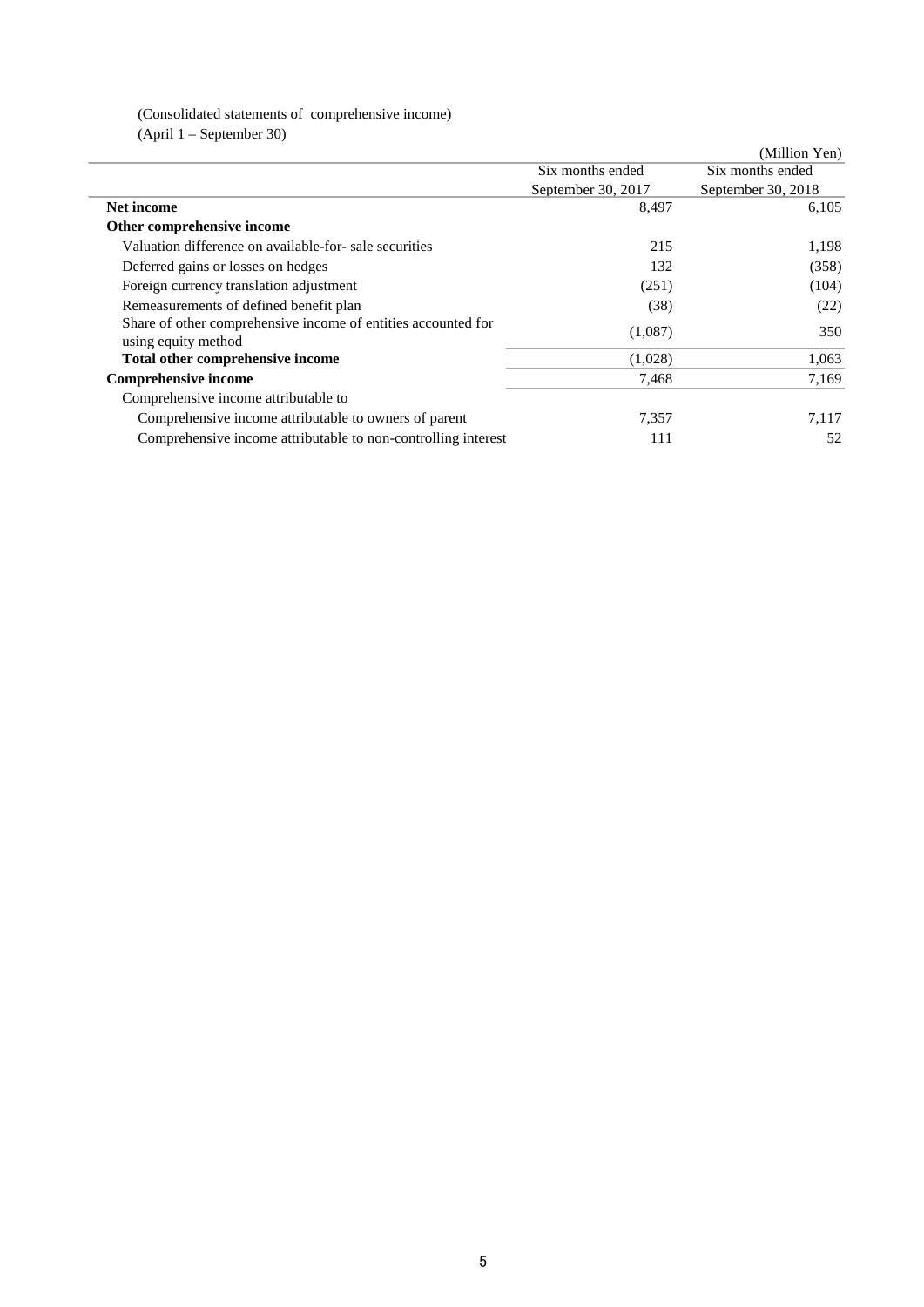# (Consolidated statements of comprehensive income)

(April 1 – September 30)

|                                                                                      |                    | (Million Yen)      |
|--------------------------------------------------------------------------------------|--------------------|--------------------|
|                                                                                      | Six months ended   | Six months ended   |
|                                                                                      | September 30, 2017 | September 30, 2018 |
| Net income                                                                           | 8,497              | 6.105              |
| Other comprehensive income                                                           |                    |                    |
| Valuation difference on available-for- sale securities                               | 215                | 1,198              |
| Deferred gains or losses on hedges                                                   | 132                | (358)              |
| Foreign currency translation adjustment                                              | (251)              | (104)              |
| Remeasurements of defined benefit plan                                               | (38)               | (22)               |
| Share of other comprehensive income of entities accounted for<br>using equity method | (1,087)            | 350                |
| Total other comprehensive income                                                     | (1,028)            | 1,063              |
| <b>Comprehensive income</b>                                                          | 7,468              | 7,169              |
| Comprehensive income attributable to                                                 |                    |                    |
| Comprehensive income attributable to owners of parent                                | 7,357              | 7,117              |
| Comprehensive income attributable to non-controlling interest                        | 111                | 52                 |